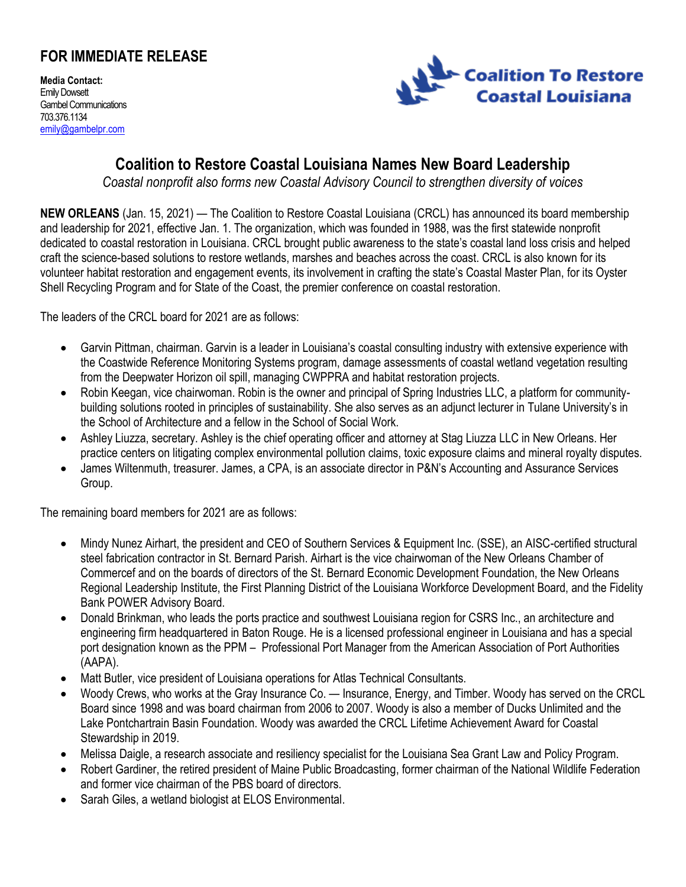## **FOR IMMEDIATE RELEASE**

**Media Contact:** Emily Dowsett Gambel Communications 703.376.1134 [emily@gambelpr.com](mailto:emily@gambelpr.com)



## **Coalition to Restore Coastal Louisiana Names New Board Leadership**

*Coastal nonprofit also forms new Coastal Advisory Council to strengthen diversity of voices*

**NEW ORLEANS** (Jan. 15, 2021) — The Coalition to Restore Coastal Louisiana (CRCL) has announced its board membership and leadership for 2021, effective Jan. 1. The organization, which was founded in 1988, was the first statewide nonprofit dedicated to coastal restoration in Louisiana. CRCL brought public awareness to the state's coastal land loss crisis and helped craft the science-based solutions to restore wetlands, marshes and beaches across the coast. CRCL is also known for its volunteer habitat restoration and engagement events, its involvement in crafting the state's Coastal Master Plan, for its Oyster Shell Recycling Program and for State of the Coast, the premier conference on coastal restoration.

The leaders of the CRCL board for 2021 are as follows:

- Garvin Pittman, chairman. Garvin is a leader in Louisiana's coastal consulting industry with extensive experience with the Coastwide Reference Monitoring Systems program, damage assessments of coastal wetland vegetation resulting from the Deepwater Horizon oil spill, managing CWPPRA and habitat restoration projects.
- Robin Keegan, vice chairwoman. Robin is the owner and principal of Spring Industries LLC, a platform for communitybuilding solutions rooted in principles of sustainability. She also serves as an adjunct lecturer in Tulane University's in the School of Architecture and a fellow in the School of Social Work.
- Ashley Liuzza, secretary. Ashley is the chief operating officer and attorney at Stag Liuzza LLC in New Orleans. Her practice centers on litigating complex environmental pollution claims, toxic exposure claims and mineral royalty disputes.
- James Wiltenmuth, treasurer. James, a CPA, is an associate director in P&N's Accounting and Assurance Services Group.

The remaining board members for 2021 are as follows:

- Mindy Nunez Airhart, the president and CEO of Southern Services & Equipment Inc. (SSE), an AISC-certified structural steel fabrication contractor in St. Bernard Parish. Airhart is the vice chairwoman of the New Orleans Chamber of Commercef and on the boards of directors of the St. Bernard Economic Development Foundation, the New Orleans Regional Leadership Institute, the First Planning District of the Louisiana Workforce Development Board, and the Fidelity Bank POWER Advisory Board.
- Donald Brinkman, who leads the ports practice and southwest Louisiana region for CSRS Inc., an architecture and engineering firm headquartered in Baton Rouge. He is a licensed professional engineer in Louisiana and has a special port designation known as the PPM – Professional Port Manager from the American Association of Port Authorities (AAPA).
- Matt Butler, vice president of Louisiana operations for Atlas Technical Consultants.
- Woody Crews, who works at the Gray Insurance Co. Insurance, Energy, and Timber. Woody has served on the CRCL Board since 1998 and was board chairman from 2006 to 2007. Woody is also a member of Ducks Unlimited and the Lake Pontchartrain Basin Foundation. Woody was awarded the CRCL Lifetime Achievement Award for Coastal Stewardship in 2019.
- Melissa Daigle, a research associate and resiliency specialist for the Louisiana Sea Grant Law and Policy Program.
- Robert Gardiner, the retired president of Maine Public Broadcasting, former chairman of the National Wildlife Federation and former vice chairman of the PBS board of directors.
- Sarah Giles, a wetland biologist at ELOS Environmental.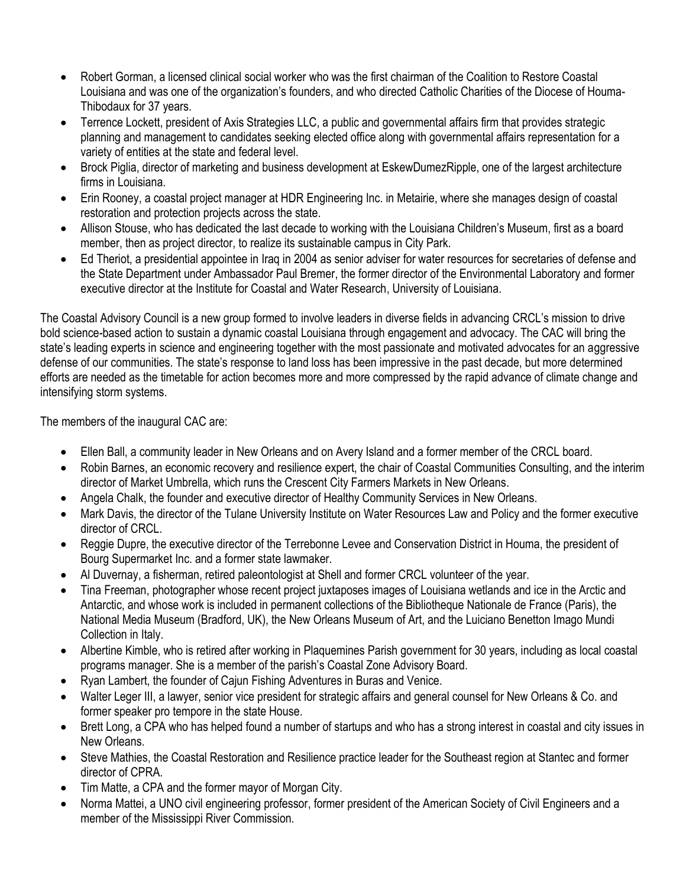- Robert Gorman, a licensed clinical social worker who was the first chairman of the Coalition to Restore Coastal Louisiana and was one of the organization's founders, and who directed Catholic Charities of the Diocese of Houma-Thibodaux for 37 years.
- Terrence Lockett, president of Axis Strategies LLC, a public and governmental affairs firm that provides strategic planning and management to candidates seeking elected office along with governmental affairs representation for a variety of entities at the state and federal level.
- Brock Piglia, director of marketing and business development at EskewDumezRipple, one of the largest architecture firms in Louisiana.
- Erin Rooney, a coastal project manager at HDR Engineering Inc. in Metairie, where she manages design of coastal restoration and protection projects across the state.
- Allison Stouse, who has dedicated the last decade to working with the Louisiana Children's Museum, first as a board member, then as project director, to realize its sustainable campus in City Park.
- Ed Theriot, a presidential appointee in Iraq in 2004 as senior adviser for water resources for secretaries of defense and the State Department under Ambassador Paul Bremer, the former director of the Environmental Laboratory and former executive director at the Institute for Coastal and Water Research, University of Louisiana.

The Coastal Advisory Council is a new group formed to involve leaders in diverse fields in advancing CRCL's mission to drive bold science-based action to sustain a dynamic coastal Louisiana through engagement and advocacy. The CAC will bring the state's leading experts in science and engineering together with the most passionate and motivated advocates for an aggressive defense of our communities. The state's response to land loss has been impressive in the past decade, but more determined efforts are needed as the timetable for action becomes more and more compressed by the rapid advance of climate change and intensifying storm systems.

The members of the inaugural CAC are:

- Ellen Ball, a community leader in New Orleans and on Avery Island and a former member of the CRCL board.
- Robin Barnes, an economic recovery and resilience expert, the chair of Coastal Communities Consulting, and the interim director of Market Umbrella, which runs the Crescent City Farmers Markets in New Orleans.
- Angela Chalk, the founder and executive director of Healthy Community Services in New Orleans.
- Mark Davis, the director of the Tulane University Institute on Water Resources Law and Policy and the former executive director of CRCL.
- Reggie Dupre, the executive director of the Terrebonne Levee and Conservation District in Houma, the president of Bourg Supermarket Inc. and a former state lawmaker.
- Al Duvernay, a fisherman, retired paleontologist at Shell and former CRCL volunteer of the year.
- Tina Freeman, photographer whose recent project juxtaposes images of Louisiana wetlands and ice in the Arctic and Antarctic, and whose work is included in permanent collections of the Bibliotheque Nationale de France (Paris), the National Media Museum (Bradford, UK), the New Orleans Museum of Art, and the Luiciano Benetton Imago Mundi Collection in Italy.
- Albertine Kimble, who is retired after working in Plaquemines Parish government for 30 years, including as local coastal programs manager. She is a member of the parish's Coastal Zone Advisory Board.
- Ryan Lambert, the founder of Cajun Fishing Adventures in Buras and Venice.
- Walter Leger III, a lawyer, senior vice president for strategic affairs and general counsel for New Orleans & Co. and former speaker pro tempore in the state House.
- Brett Long, a CPA who has helped found a number of startups and who has a strong interest in coastal and city issues in New Orleans.
- Steve Mathies, the Coastal Restoration and Resilience practice leader for the Southeast region at Stantec and former director of CPRA
- Tim Matte, a CPA and the former mayor of Morgan City.
- Norma Mattei, a UNO civil engineering professor, former president of the American Society of Civil Engineers and a member of the Mississippi River Commission.